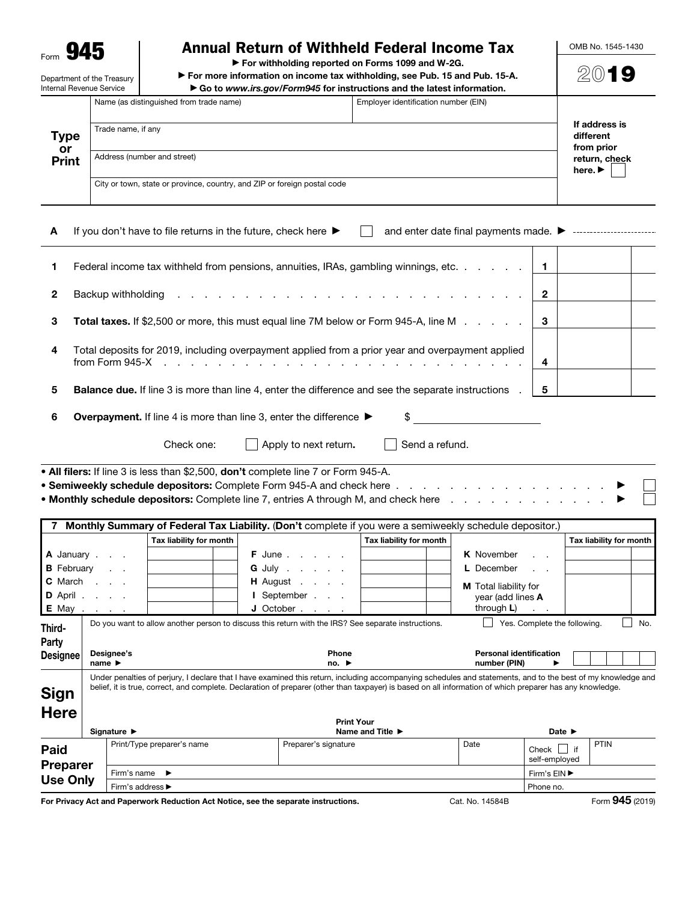$_{\text{Form}}$  945

Department of the Treasury

## Annual Return of Withheld Federal Income Tax

▶ For withholding reported on Forms 1099 and W-2G.

▶ For more information on income tax withholding, see Pub. 15 and Pub. 15-A. ▶ Go to *www.irs.gov/Form945* for instructions and the latest information.

| Internal Revenue Service   | $\triangleright$ Go to www.irs.gov/Form945 for instructions and the latest information. |                                                                          |  |  |  |
|----------------------------|-----------------------------------------------------------------------------------------|--------------------------------------------------------------------------|--|--|--|
| Type<br>or<br><b>Print</b> | Name (as distinguished from trade name)                                                 | If address is                                                            |  |  |  |
|                            | Trade name, if any                                                                      | different<br>from prior                                                  |  |  |  |
|                            | Address (number and street)                                                             | return, check<br>here. $\blacktriangleright$                             |  |  |  |
|                            |                                                                                         | City or town, state or province, country, and ZIP or foreign postal code |  |  |  |

| A            | and enter date final payments made. ▶ ------------------------<br>If you don't have to file returns in the future, check here $\blacktriangleright$ |  |  |
|--------------|-----------------------------------------------------------------------------------------------------------------------------------------------------|--|--|
| -1           | Federal income tax withheld from pensions, annuities, IRAs, gambling winnings, etc. $\ldots$ $\ldots$ $\mid$ 1                                      |  |  |
| $\mathbf{2}$ | Backup withholding $\cdots$ $\cdots$ $\cdots$ $\cdots$ $\cdots$ $\cdots$ $\cdots$ $\cdots$ $\cdots$ $\cdots$ $\cdots$ $\cdots$ $\cdots$             |  |  |
| 3            | <b>Total taxes.</b> If \$2,500 or more, this must equal line 7M below or Form 945-A, line M $\ldots$ , $\cdot$                                      |  |  |
|              |                                                                                                                                                     |  |  |

4 Total deposits for 2019, including overpayment applied from a prior year and overpayment applied from Form 945-X . . . . . . . . . . . . . . . . . . . . . . . . . . . 4

5 Balance due. If line 3 is more than line 4, enter the difference and see the separate instructions . 5

6 Overpayment. If line 4 is more than line 3, enter the difference  $\blacktriangleright$  \$

Check one:  $\Box$  Apply to next return.  $\Box$  Send a refund.

• All filers: If line 3 is less than \$2,500, don't complete line 7 or Form 945-A. • Semiweekly schedule depositors: Complete Form 945-A and check here . . . . . . . . . . . • Monthly schedule depositors: Complete line 7, entries A through M, and check here . . . . . . .

|                                    |                                                  |                            | Monthly Summary of Federal Tax Liability. (Don't complete if you were a semiweekly schedule depositor.)                                                                                                                                                                                                                                        |                                      |                                                             |                              |      |                         |
|------------------------------------|--------------------------------------------------|----------------------------|------------------------------------------------------------------------------------------------------------------------------------------------------------------------------------------------------------------------------------------------------------------------------------------------------------------------------------------------|--------------------------------------|-------------------------------------------------------------|------------------------------|------|-------------------------|
|                                    |                                                  | Tax liability for month    |                                                                                                                                                                                                                                                                                                                                                | Tax liability for month              |                                                             |                              |      | Tax liability for month |
|                                    | A January                                        |                            | <b>F</b> June                                                                                                                                                                                                                                                                                                                                  |                                      | <b>K</b> November                                           | $\sim$ $\sim$                |      |                         |
|                                    | <b>B</b> February                                |                            | <b>G</b> July                                                                                                                                                                                                                                                                                                                                  |                                      | <b>L</b> December                                           | <b>Contract Contract</b>     |      |                         |
|                                    | <b>C</b> March<br><b>D</b> April<br><b>E</b> May |                            | <b>H</b> August<br>I September<br>$J$ October $.$                                                                                                                                                                                                                                                                                              |                                      | M Total liability for<br>year (add lines A<br>through $L$ ) | <b>Contract Contract</b>     |      |                         |
| Third-<br>Party<br><b>Designee</b> | Designee's<br>name $\blacktriangleright$         |                            | Do you want to allow another person to discuss this return with the IRS? See separate instructions.<br><b>Phone</b><br>no. $\blacktriangleright$                                                                                                                                                                                               |                                      | <b>Personal identification</b><br>number (PIN)              | Yes. Complete the following. |      | No.                     |
| <b>Sign</b><br><b>Here</b>         | Signature $\blacktriangleright$                  |                            | Under penalties of perjury, I declare that I have examined this return, including accompanying schedules and statements, and to the best of my knowledge and<br>belief, it is true, correct, and complete. Declaration of preparer (other than taxpayer) is based on all information of which preparer has any knowledge.<br><b>Print Your</b> | Name and Title $\blacktriangleright$ |                                                             | Date $\blacktriangleright$   |      |                         |
|                                    |                                                  | Print/Type preparer's name | Preparer's signature                                                                                                                                                                                                                                                                                                                           |                                      | Date                                                        | $\sim$ $\Box$                | PTIN |                         |

| - - -<br>. .                               | .<br>$\cdot$ .<br>$\overline{\phantom{a}}$ |                      | $\sim$ $\cdot$ $\cdot$ $\cdot$ $\cdot$ $\cdot$ $\sim$ $\sim$ |                        | -           | $\bigcap_{n=1}^{\infty}$ |
|--------------------------------------------|--------------------------------------------|----------------------|--------------------------------------------------------------|------------------------|-------------|--------------------------|
| Paid<br><b>Preparer</b><br><b>Use Only</b> | Firm's address ►                           |                      |                                                              | Phone no.              |             |                          |
|                                            | Firm's name                                |                      |                                                              | Firm's $EIN$           |             |                          |
|                                            |                                            |                      |                                                              | Check<br>self-emploved |             |                          |
|                                            | Print/Type preparer's name                 | Preparer's signature | Date                                                         | $\cdot$                | <b>PTIN</b> |                          |

For Privacy Act and Paperwork Reduction Act Notice, see the separate instructions. Cat. No. 14584B Form 945 (2019)

OMB No. 1545-1430

2019